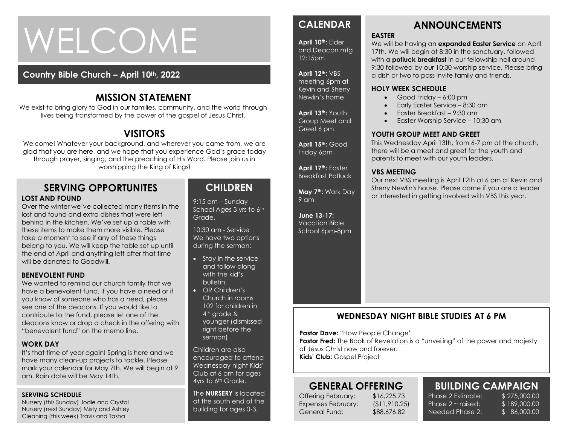# WELCOME

# **Country Bible Church – April 10th, 2022**

# **MISSION STATEMENT**

We exist to bring glory to God in our families, community, and the world through lives being transformed by the power of the gospel of Jesus Christ.

# **VISITORS**

Welcome! Whatever your background, and wherever you came from, we are glad that you are here, and we hope that you experience God's grace today through prayer, singing, and the preaching of His Word. Please join us in worshipping the King of Kings!

#### **SERVING OPPORTUNITES LOST AND FOUND**

the end of April and anything left after that time<br>will be donated to Goodwill Over the winter we've collected many items in the lost and found and extra dishes that were left behind in the kitchen. We've set up a table with these items to make them more visible. Please take a moment to see if any of these things belong to you. We will keep the table set up until will be donated to Goodwill.

#### **BENEVOLENT FUND**

We wanted to remind our church family that we have a benevolent fund. If you have a need or if you know of someone who has a need, please see one of the deacons. If you would like to contribute to the fund, please let one of the deacons know or drop a check in the offering with "benevolent fund" on the memo line.

#### **WORK DAY**

It's that time of year again! Spring is here and we have many clean-up projects to tackle. Please mark your calendar for May 7th. We will begin at 9 am. Rain date will be May 14th.

#### **SERVING SCHEDULE**

Nursery (this Sunday) Jodie and Crystal Nursery (next Sunday) Misty and Ashley Cleaning (this week) Travis and Tasha

# **CHILDREN**

9:15 am – Sunday School Ages 3 yrs to 6th Grade.

10:30 am - Service We have two options during the sermon:

- Stay in the service and follow along with the kid's bulletin.
- OR Children's Church in rooms 102 for children in 4<sup>th</sup> grade & younger (dismissed right before the sermon)

Children are also encouraged to attend Wednesday night Kids' Club at 6 pm for ages 4yrs to 6<sup>th</sup> Grade.

The **NURSERY** is located at the south end of the building for ages 0-3.

# **CALENDAR**

**April 10th:** Elder and Deacon mtg 12:15pm

#### **April 12th:** VBS

meeting 6pm at Kevin and Sherry Newlin's home

**April 13th:** Youth Group Meet and Greet 6 pm

**April 15th:** Good Friday 6pm

**April 17th:** Easter Breakfast Potluck

**May 7th:** Work Day 9 am

**June 13-17:**  Vacation Bible School 6pm-8pm

# **ANNOUNCEMENTS**

#### **EASTER**

We will be having an **expanded Easter Service** on April 17th. We will begin at 8:30 in the sanctuary, followed with a **potluck breakfast** in our fellowship hall around 9:30 followed by our 10:30 worship service. Please bring a dish or two to pass invite family and friends.

#### **HOLY WEEK SCHEDULE**

- Good Friday 6:00 pm
- Early Easter Service 8:30 am
- Easter Breakfast 9:30 am
- Easter Worship Service 10:30 am

#### **YOUTH GROUP MEET AND GREET**

This Wednesday April 13th, from 6-7 pm at the church, there will be a meet and greet for the youth and parents to meet with our youth leaders.

#### **VBS MEETING**

Our next VBS meeting is April 12th at 6 pm at Kevin and Sherry Newlin's house. Please come if you are a leader or interested in getting involved with VBS this year.

# **WEDNESDAY NIGHT BIBLE STUDIES AT 6 PM**

**Pastor Dave: "How People Change"** 

**Pastor Fred:** The Book of Revelation is a "unveiling" of the power and majesty of Jesus Christ now and forever. **Kids' Club:** Gospel Project

# **GENERAL OFFERING**

Offering February: \$16,225.73 Expenses February: (\$11,910.25) General Fund: \$88,676.82

Phase 2 Estimate: \$275,000.00 Phase  $2 \sim$  raised: Needed Phase 2:

**BUILDING CAMPAIGN** \$ 189,000.00 \$ 86,000.00